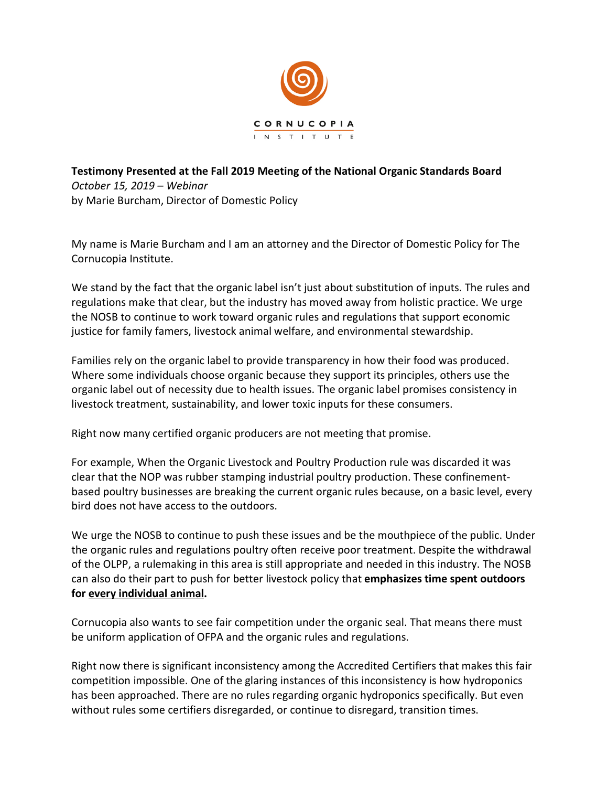

## **Testimony Presented at the Fall 2019 Meeting of the National Organic Standards Board**  *October 15, 2019 – Webinar*  by Marie Burcham, Director of Domestic Policy

My name is Marie Burcham and I am an attorney and the Director of Domestic Policy for The Cornucopia Institute.

We stand by the fact that the organic label isn't just about substitution of inputs. The rules and regulations make that clear, but the industry has moved away from holistic practice. We urge the NOSB to continue to work toward organic rules and regulations that support economic justice for family famers, livestock animal welfare, and environmental stewardship.

Families rely on the organic label to provide transparency in how their food was produced. Where some individuals choose organic because they support its principles, others use the organic label out of necessity due to health issues. The organic label promises consistency in livestock treatment, sustainability, and lower toxic inputs for these consumers.

Right now many certified organic producers are not meeting that promise.

For example, When the Organic Livestock and Poultry Production rule was discarded it was clear that the NOP was rubber stamping industrial poultry production. These confinementbased poultry businesses are breaking the current organic rules because, on a basic level, every bird does not have access to the outdoors.

We urge the NOSB to continue to push these issues and be the mouthpiece of the public. Under the organic rules and regulations poultry often receive poor treatment. Despite the withdrawal of the OLPP, a rulemaking in this area is still appropriate and needed in this industry. The NOSB can also do their part to push for better livestock policy that **emphasizes time spent outdoors for every individual animal.** 

Cornucopia also wants to see fair competition under the organic seal. That means there must be uniform application of OFPA and the organic rules and regulations.

Right now there is significant inconsistency among the Accredited Certifiers that makes this fair competition impossible. One of the glaring instances of this inconsistency is how hydroponics has been approached. There are no rules regarding organic hydroponics specifically. But even without rules some certifiers disregarded, or continue to disregard, transition times.